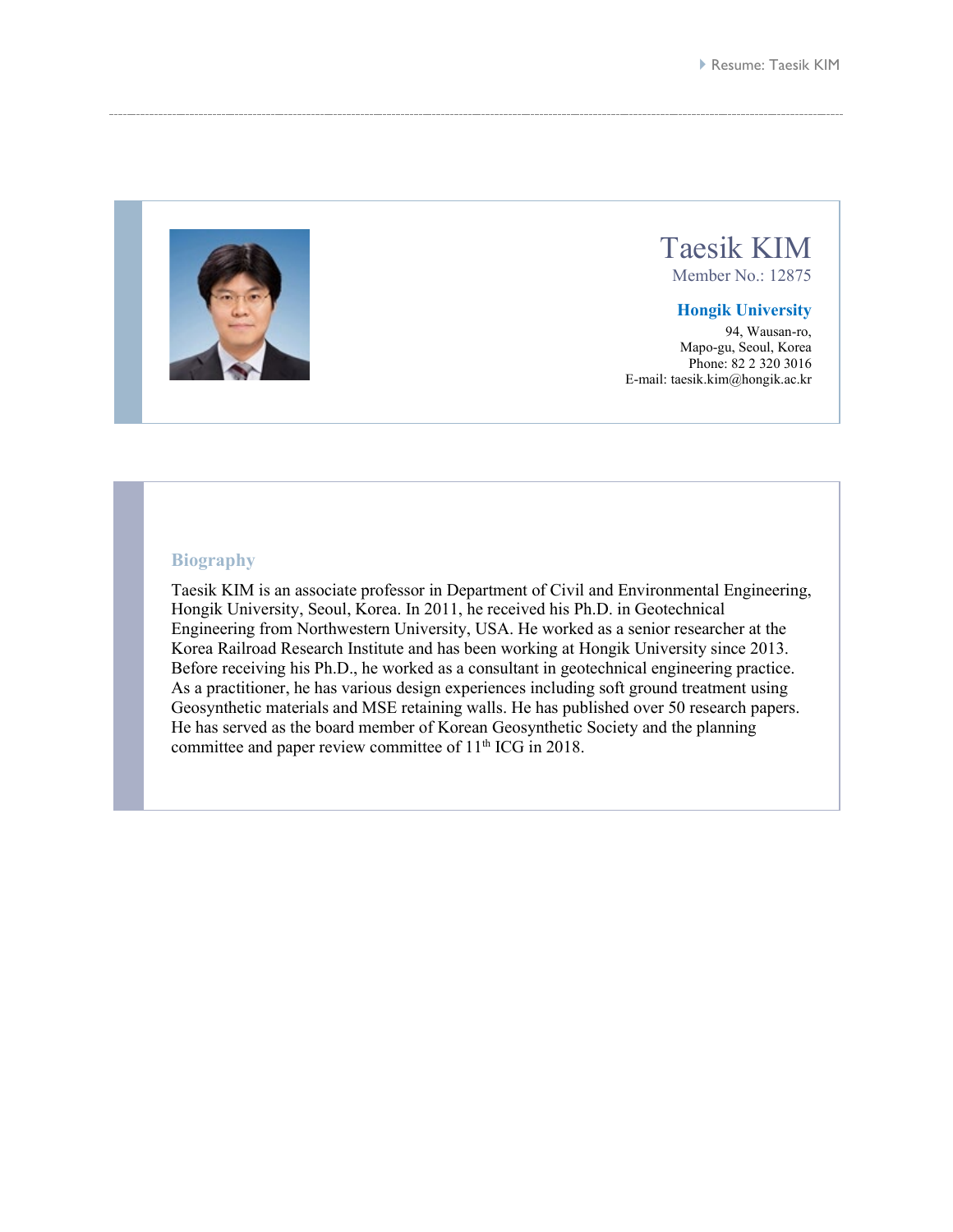

## Taesik KIM

Member No.: 12875

## **Hongik University**

94, Wausan-ro, Mapo-gu, Seoul, Korea Phone: 82 2 320 3016 E-mail: taesik.kim@hongik.ac.kr

## **Biography**

Taesik KIM is an associate professor in Department of Civil and Environmental Engineering, Hongik University, Seoul, Korea. In 2011, he received his Ph.D. in Geotechnical Engineering from Northwestern University, USA. He worked as a senior researcher at the Korea Railroad Research Institute and has been working at Hongik University since 2013. Before receiving his Ph.D., he worked as a consultant in geotechnical engineering practice. As a practitioner, he has various design experiences including soft ground treatment using Geosynthetic materials and MSE retaining walls. He has published over 50 research papers. He has served as the board member of Korean Geosynthetic Society and the planning committee and paper review committee of  $11<sup>th</sup>$  ICG in 2018.